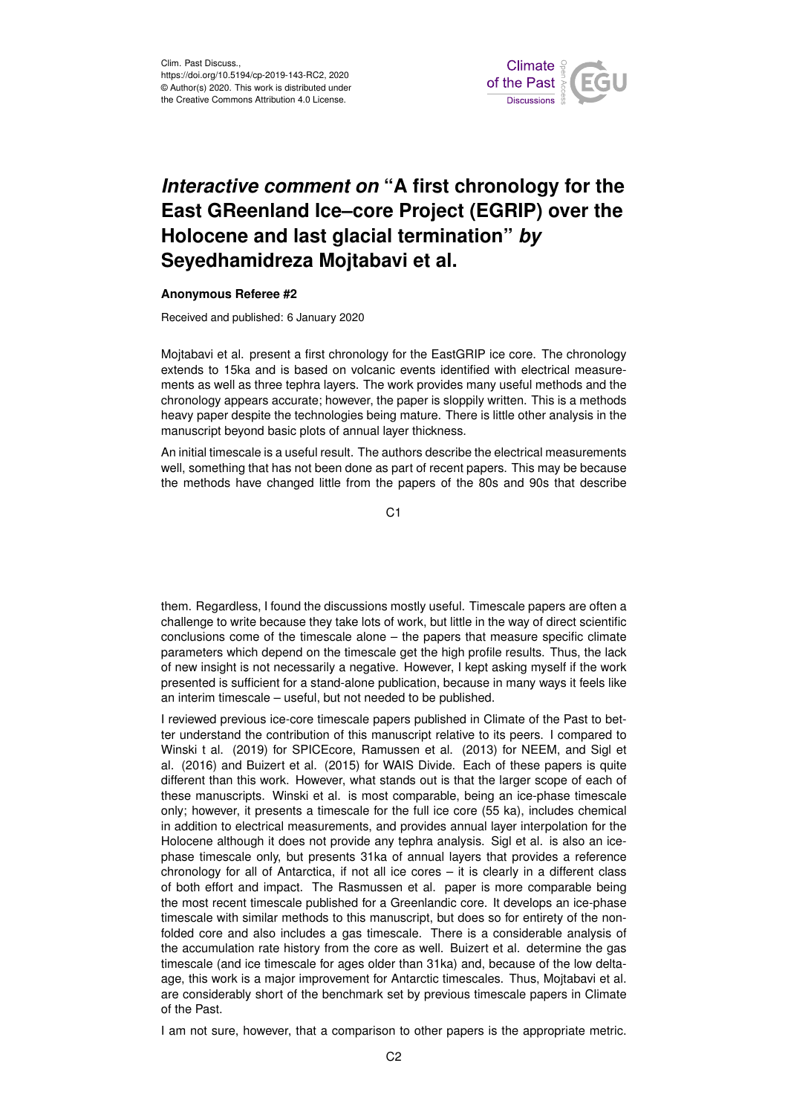

## *Interactive comment on* **"A first chronology for the East GReenland Ice–core Project (EGRIP) over the Holocene and last glacial termination"** *by* **Seyedhamidreza Mojtabavi et al.**

## **Anonymous Referee #2**

Received and published: 6 January 2020

Mojtabavi et al. present a first chronology for the EastGRIP ice core. The chronology extends to 15ka and is based on volcanic events identified with electrical measurements as well as three tephra layers. The work provides many useful methods and the chronology appears accurate; however, the paper is sloppily written. This is a methods heavy paper despite the technologies being mature. There is little other analysis in the manuscript beyond basic plots of annual layer thickness.

An initial timescale is a useful result. The authors describe the electrical measurements well, something that has not been done as part of recent papers. This may be because the methods have changed little from the papers of the 80s and 90s that describe

 $C<sub>1</sub>$ 

them. Regardless, I found the discussions mostly useful. Timescale papers are often a challenge to write because they take lots of work, but little in the way of direct scientific conclusions come of the timescale alone – the papers that measure specific climate parameters which depend on the timescale get the high profile results. Thus, the lack of new insight is not necessarily a negative. However, I kept asking myself if the work presented is sufficient for a stand-alone publication, because in many ways it feels like an interim timescale – useful, but not needed to be published.

I reviewed previous ice-core timescale papers published in Climate of the Past to better understand the contribution of this manuscript relative to its peers. I compared to Winski t al. (2019) for SPICEcore, Ramussen et al. (2013) for NEEM, and Sigl et al. (2016) and Buizert et al. (2015) for WAIS Divide. Each of these papers is quite different than this work. However, what stands out is that the larger scope of each of these manuscripts. Winski et al. is most comparable, being an ice-phase timescale only; however, it presents a timescale for the full ice core (55 ka), includes chemical in addition to electrical measurements, and provides annual layer interpolation for the Holocene although it does not provide any tephra analysis. Sigl et al. is also an icephase timescale only, but presents 31ka of annual layers that provides a reference chronology for all of Antarctica, if not all ice cores – it is clearly in a different class of both effort and impact. The Rasmussen et al. paper is more comparable being the most recent timescale published for a Greenlandic core. It develops an ice-phase timescale with similar methods to this manuscript, but does so for entirety of the nonfolded core and also includes a gas timescale. There is a considerable analysis of the accumulation rate history from the core as well. Buizert et al. determine the gas timescale (and ice timescale for ages older than 31ka) and, because of the low deltaage, this work is a major improvement for Antarctic timescales. Thus, Mojtabavi et al. are considerably short of the benchmark set by previous timescale papers in Climate of the Past.

I am not sure, however, that a comparison to other papers is the appropriate metric.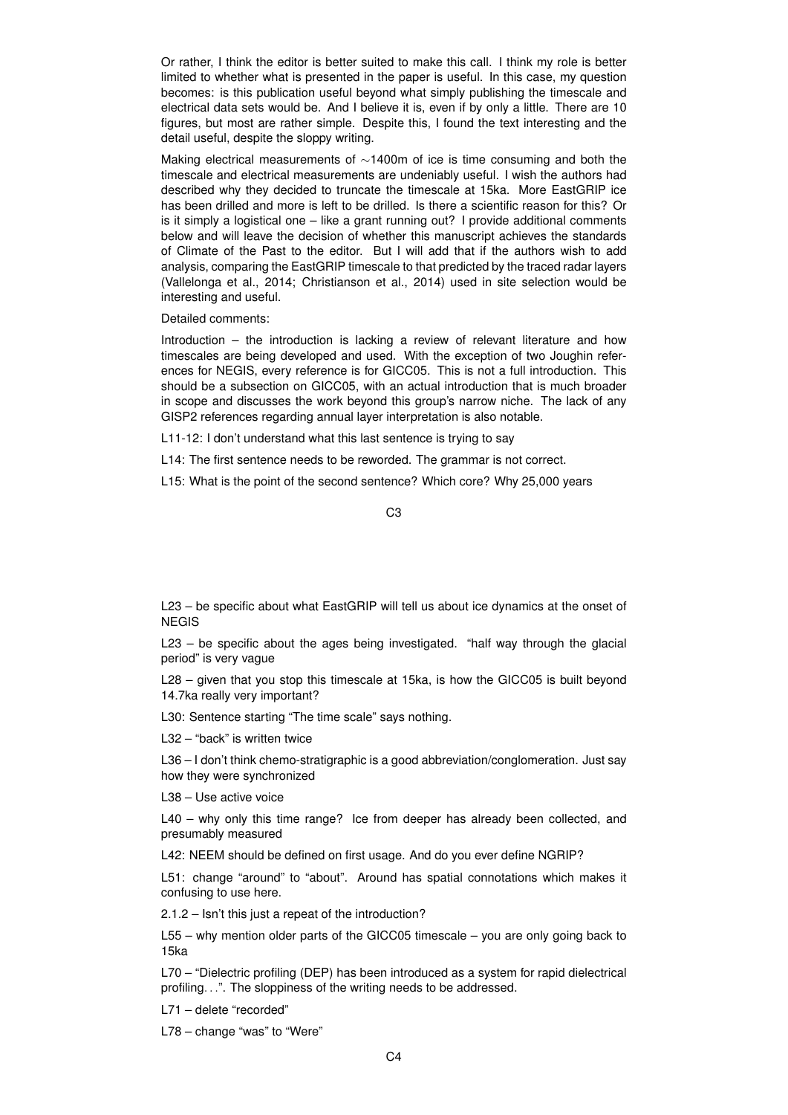Or rather, I think the editor is better suited to make this call. I think my role is better limited to whether what is presented in the paper is useful. In this case, my question becomes: is this publication useful beyond what simply publishing the timescale and electrical data sets would be. And I believe it is, even if by only a little. There are 10 figures, but most are rather simple. Despite this, I found the text interesting and the detail useful, despite the sloppy writing.

Making electrical measurements of ∼1400m of ice is time consuming and both the timescale and electrical measurements are undeniably useful. I wish the authors had described why they decided to truncate the timescale at 15ka. More EastGRIP ice has been drilled and more is left to be drilled. Is there a scientific reason for this? Or is it simply a logistical one – like a grant running out? I provide additional comments below and will leave the decision of whether this manuscript achieves the standards of Climate of the Past to the editor. But I will add that if the authors wish to add analysis, comparing the EastGRIP timescale to that predicted by the traced radar layers (Vallelonga et al., 2014; Christianson et al., 2014) used in site selection would be interesting and useful.

Detailed comments:

Introduction – the introduction is lacking a review of relevant literature and how timescales are being developed and used. With the exception of two Joughin references for NEGIS, every reference is for GICC05. This is not a full introduction. This should be a subsection on GICC05, with an actual introduction that is much broader in scope and discusses the work beyond this group's narrow niche. The lack of any GISP2 references regarding annual layer interpretation is also notable.

L11-12: I don't understand what this last sentence is trying to say

L14: The first sentence needs to be reworded. The grammar is not correct.

L15: What is the point of the second sentence? Which core? Why 25,000 years

C3

L23 – be specific about what EastGRIP will tell us about ice dynamics at the onset of **NEGIS** 

L23 – be specific about the ages being investigated. "half way through the glacial period" is very vague

L28 – given that you stop this timescale at 15ka, is how the GICC05 is built beyond 14.7ka really very important?

L30: Sentence starting "The time scale" says nothing.

L32 – "back" is written twice

L36 – I don't think chemo-stratigraphic is a good abbreviation/conglomeration. Just say how they were synchronized

L38 – Use active voice

L40 – why only this time range? Ice from deeper has already been collected, and presumably measured

L42: NEEM should be defined on first usage. And do you ever define NGRIP?

L51: change "around" to "about". Around has spatial connotations which makes it confusing to use here.

2.1.2 – Isn't this just a repeat of the introduction?

L55 – why mention older parts of the GICC05 timescale – you are only going back to 15ka

L70 – "Dielectric profiling (DEP) has been introduced as a system for rapid dielectrical profiling. . .". The sloppiness of the writing needs to be addressed.

L71 – delete "recorded"

L78 – change "was" to "Were"